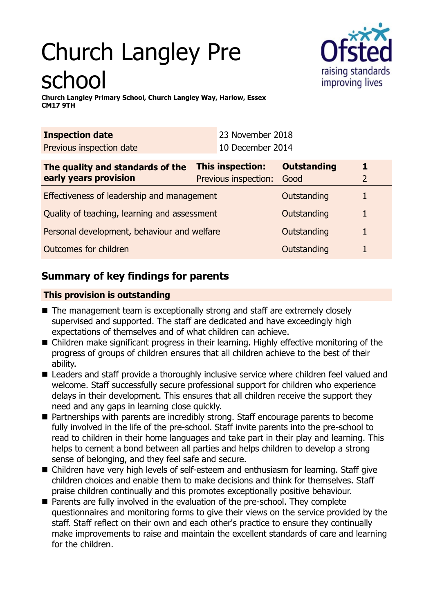# Church Langley Pre school



**Church Langley Primary School, Church Langley Way, Harlow, Essex CM17 9TH**

| <b>Inspection date</b>   | 23 November 2018 |
|--------------------------|------------------|
| Previous inspection date | 10 December 2014 |

| The quality and standards of the             | <b>This inspection:</b> | <b>Outstanding</b> |  |
|----------------------------------------------|-------------------------|--------------------|--|
| early years provision                        | Previous inspection:    | Good               |  |
| Effectiveness of leadership and management   |                         | Outstanding        |  |
| Quality of teaching, learning and assessment |                         | Outstanding        |  |
| Personal development, behaviour and welfare  |                         | Outstanding        |  |
| Outcomes for children                        |                         | Outstanding        |  |

# **Summary of key findings for parents**

## **This provision is outstanding**

- $\blacksquare$  The management team is exceptionally strong and staff are extremely closely supervised and supported. The staff are dedicated and have exceedingly high expectations of themselves and of what children can achieve.
- Children make significant progress in their learning. Highly effective monitoring of the progress of groups of children ensures that all children achieve to the best of their ability.
- Leaders and staff provide a thoroughly inclusive service where children feel valued and welcome. Staff successfully secure professional support for children who experience delays in their development. This ensures that all children receive the support they need and any gaps in learning close quickly.
- Partnerships with parents are incredibly strong. Staff encourage parents to become fully involved in the life of the pre-school. Staff invite parents into the pre-school to read to children in their home languages and take part in their play and learning. This helps to cement a bond between all parties and helps children to develop a strong sense of belonging, and they feel safe and secure.
- Children have very high levels of self-esteem and enthusiasm for learning. Staff give children choices and enable them to make decisions and think for themselves. Staff praise children continually and this promotes exceptionally positive behaviour.
- $\blacksquare$  Parents are fully involved in the evaluation of the pre-school. They complete questionnaires and monitoring forms to give their views on the service provided by the staff. Staff reflect on their own and each other's practice to ensure they continually make improvements to raise and maintain the excellent standards of care and learning for the children.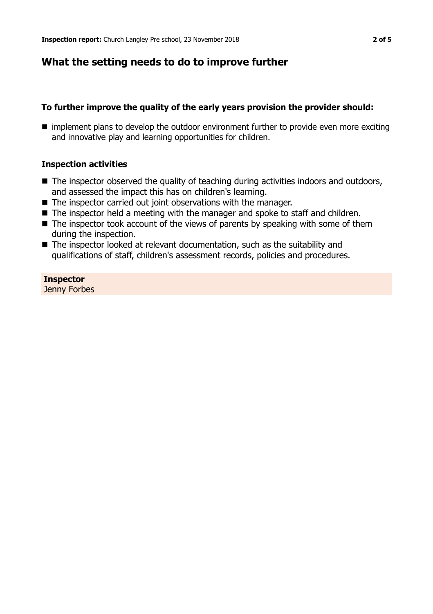## **What the setting needs to do to improve further**

### **To further improve the quality of the early years provision the provider should:**

 $\blacksquare$  implement plans to develop the outdoor environment further to provide even more exciting and innovative play and learning opportunities for children.

### **Inspection activities**

- $\blacksquare$  The inspector observed the quality of teaching during activities indoors and outdoors, and assessed the impact this has on children's learning.
- $\blacksquare$  The inspector carried out joint observations with the manager.
- $\blacksquare$  The inspector held a meeting with the manager and spoke to staff and children.
- $\blacksquare$  The inspector took account of the views of parents by speaking with some of them during the inspection.
- $\blacksquare$  The inspector looked at relevant documentation, such as the suitability and qualifications of staff, children's assessment records, policies and procedures.

#### **Inspector** Jenny Forbes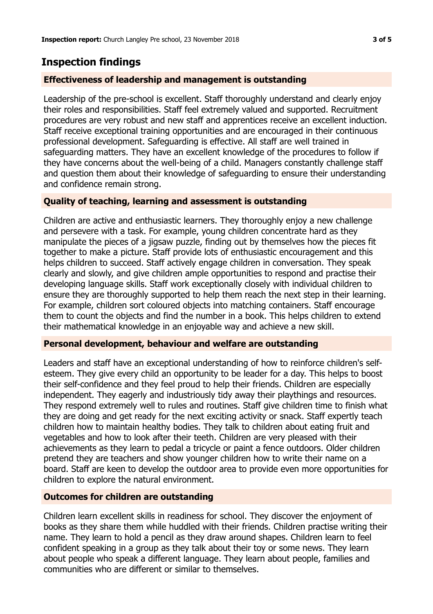# **Inspection findings**

## **Effectiveness of leadership and management is outstanding**

Leadership of the pre-school is excellent. Staff thoroughly understand and clearly enjoy their roles and responsibilities. Staff feel extremely valued and supported. Recruitment procedures are very robust and new staff and apprentices receive an excellent induction. Staff receive exceptional training opportunities and are encouraged in their continuous professional development. Safeguarding is effective. All staff are well trained in safeguarding matters. They have an excellent knowledge of the procedures to follow if they have concerns about the well-being of a child. Managers constantly challenge staff and question them about their knowledge of safeguarding to ensure their understanding and confidence remain strong.

## **Quality of teaching, learning and assessment is outstanding**

Children are active and enthusiastic learners. They thoroughly enjoy a new challenge and persevere with a task. For example, young children concentrate hard as they manipulate the pieces of a jigsaw puzzle, finding out by themselves how the pieces fit together to make a picture. Staff provide lots of enthusiastic encouragement and this helps children to succeed. Staff actively engage children in conversation. They speak clearly and slowly, and give children ample opportunities to respond and practise their developing language skills. Staff work exceptionally closely with individual children to ensure they are thoroughly supported to help them reach the next step in their learning. For example, children sort coloured objects into matching containers. Staff encourage them to count the objects and find the number in a book. This helps children to extend their mathematical knowledge in an enjoyable way and achieve a new skill.

## **Personal development, behaviour and welfare are outstanding**

Leaders and staff have an exceptional understanding of how to reinforce children's selfesteem. They give every child an opportunity to be leader for a day. This helps to boost their self-confidence and they feel proud to help their friends. Children are especially independent. They eagerly and industriously tidy away their playthings and resources. They respond extremely well to rules and routines. Staff give children time to finish what they are doing and get ready for the next exciting activity or snack. Staff expertly teach children how to maintain healthy bodies. They talk to children about eating fruit and vegetables and how to look after their teeth. Children are very pleased with their achievements as they learn to pedal a tricycle or paint a fence outdoors. Older children pretend they are teachers and show younger children how to write their name on a board. Staff are keen to develop the outdoor area to provide even more opportunities for children to explore the natural environment.

## **Outcomes for children are outstanding**

Children learn excellent skills in readiness for school. They discover the enjoyment of books as they share them while huddled with their friends. Children practise writing their name. They learn to hold a pencil as they draw around shapes. Children learn to feel confident speaking in a group as they talk about their toy or some news. They learn about people who speak a different language. They learn about people, families and communities who are different or similar to themselves.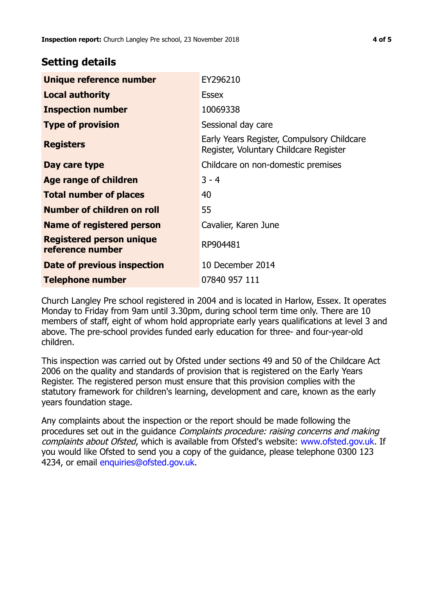## **Setting details**

| Unique reference number                             | EY296210                                                                             |
|-----------------------------------------------------|--------------------------------------------------------------------------------------|
| <b>Local authority</b>                              | Essex                                                                                |
| <b>Inspection number</b>                            | 10069338                                                                             |
| <b>Type of provision</b>                            | Sessional day care                                                                   |
| <b>Registers</b>                                    | Early Years Register, Compulsory Childcare<br>Register, Voluntary Childcare Register |
| Day care type                                       | Childcare on non-domestic premises                                                   |
| <b>Age range of children</b>                        | $3 - 4$                                                                              |
| <b>Total number of places</b>                       | 40                                                                                   |
| Number of children on roll                          | 55                                                                                   |
| Name of registered person                           | Cavalier, Karen June                                                                 |
| <b>Registered person unique</b><br>reference number | RP904481                                                                             |
| Date of previous inspection                         | 10 December 2014                                                                     |
| Telephone number                                    | 07840 957 111                                                                        |

Church Langley Pre school registered in 2004 and is located in Harlow, Essex. It operates Monday to Friday from 9am until 3.30pm, during school term time only. There are 10 members of staff, eight of whom hold appropriate early years qualifications at level 3 and above. The pre-school provides funded early education for three- and four-year-old children.

This inspection was carried out by Ofsted under sections 49 and 50 of the Childcare Act 2006 on the quality and standards of provision that is registered on the Early Years Register. The registered person must ensure that this provision complies with the statutory framework for children's learning, development and care, known as the early years foundation stage.

Any complaints about the inspection or the report should be made following the procedures set out in the guidance Complaints procedure: raising concerns and making complaints about Ofsted, which is available from Ofsted's website: www.ofsted.gov.uk. If you would like Ofsted to send you a copy of the guidance, please telephone 0300 123 4234, or email [enquiries@ofsted.gov.uk.](mailto:enquiries@ofsted.gov.uk)